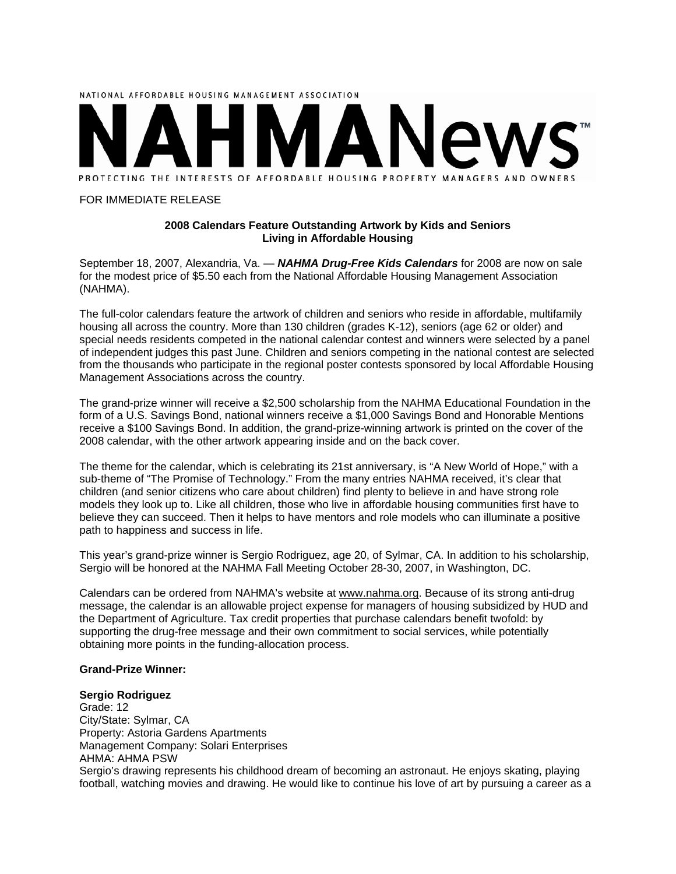

#### FOR IMMEDIATE RELEASE

# **2008 Calendars Feature Outstanding Artwork by Kids and Seniors Living in Affordable Housing**

September 18, 2007, Alexandria, Va. — *NAHMA Drug-Free Kids Calendars* for 2008 are now on sale for the modest price of \$5.50 each from the National Affordable Housing Management Association (NAHMA).

The full-color calendars feature the artwork of children and seniors who reside in affordable, multifamily housing all across the country. More than 130 children (grades K-12), seniors (age 62 or older) and special needs residents competed in the national calendar contest and winners were selected by a panel of independent judges this past June. Children and seniors competing in the national contest are selected from the thousands who participate in the regional poster contests sponsored by local Affordable Housing Management Associations across the country.

The grand-prize winner will receive a \$2,500 scholarship from the NAHMA Educational Foundation in the form of a U.S. Savings Bond, national winners receive a \$1,000 Savings Bond and Honorable Mentions receive a \$100 Savings Bond. In addition, the grand-prize-winning artwork is printed on the cover of the 2008 calendar, with the other artwork appearing inside and on the back cover.

The theme for the calendar, which is celebrating its 21st anniversary, is "A New World of Hope," with a sub-theme of "The Promise of Technology." From the many entries NAHMA received, it's clear that children (and senior citizens who care about children) find plenty to believe in and have strong role models they look up to. Like all children, those who live in affordable housing communities first have to believe they can succeed. Then it helps to have mentors and role models who can illuminate a positive path to happiness and success in life.

This year's grand-prize winner is Sergio Rodriguez, age 20, of Sylmar, CA. In addition to his scholarship, Sergio will be honored at the NAHMA Fall Meeting October 28-30, 2007, in Washington, DC.

Calendars can be ordered from NAHMA's website at www.nahma.org. Because of its strong anti-drug message, the calendar is an allowable project expense for managers of housing subsidized by HUD and the Department of Agriculture. Tax credit properties that purchase calendars benefit twofold: by supporting the drug-free message and their own commitment to social services, while potentially obtaining more points in the funding-allocation process.

#### **Grand-Prize Winner:**

#### **Sergio Rodriguez**

Grade: 12 City/State: Sylmar, CA Property: Astoria Gardens Apartments Management Company: Solari Enterprises AHMA: AHMA PSW Sergio's drawing represents his childhood dream of becoming an astronaut. He enjoys skating, playing football, watching movies and drawing. He would like to continue his love of art by pursuing a career as a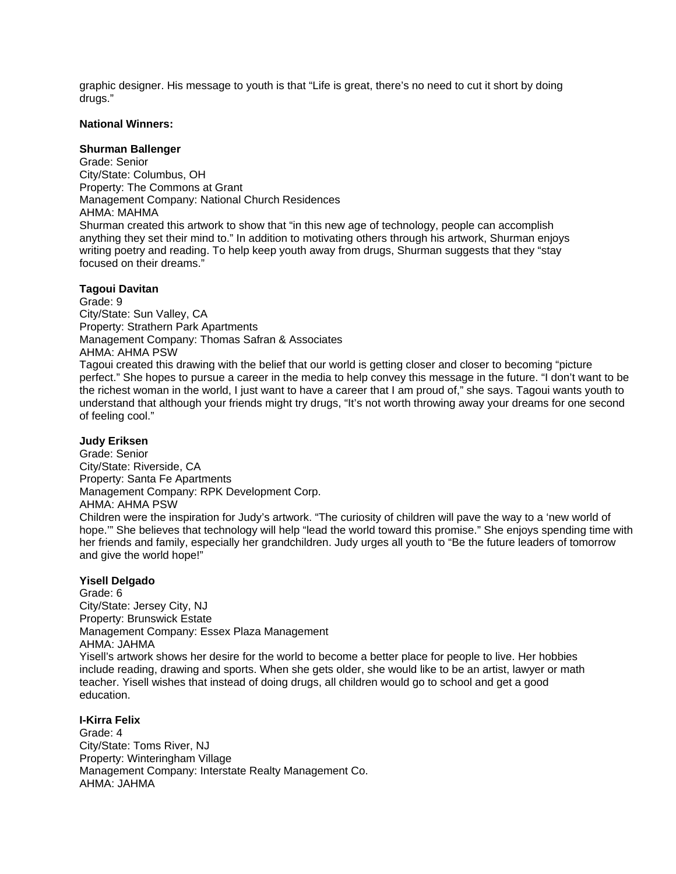graphic designer. His message to youth is that "Life is great, there's no need to cut it short by doing drugs."

## **National Winners:**

## **Shurman Ballenger**

Grade: Senior City/State: Columbus, OH Property: The Commons at Grant Management Company: National Church Residences AHMA: MAHMA Shurman created this artwork to show that "in this new age of technology, people can accomplish anything they set their mind to." In addition to motivating others through his artwork, Shurman enjoys writing poetry and reading. To help keep youth away from drugs, Shurman suggests that they "stay focused on their dreams."

# **Tagoui Davitan**

Grade: 9 City/State: Sun Valley, CA Property: Strathern Park Apartments Management Company: Thomas Safran & Associates AHMA: AHMA PSW Tagoui created this drawing with the belief that our world is getting closer and closer to becoming "picture perfect." She hopes to pursue a career in the media to help convey this message in the future. "I don't want to be the richest woman in the world, I just want to have a career that I am proud of," she says. Tagoui wants youth to understand that although your friends might try drugs, "It's not worth throwing away your dreams for one second of feeling cool."

## **Judy Eriksen**

Grade: Senior City/State: Riverside, CA Property: Santa Fe Apartments Management Company: RPK Development Corp. AHMA: AHMA PSW Children were the inspiration for Judy's artwork. "The curiosity of children will pave the way to a 'new world of

hope.'" She believes that technology will help "lead the world toward this promise." She enjoys spending time with her friends and family, especially her grandchildren. Judy urges all youth to "Be the future leaders of tomorrow and give the world hope!"

# **Yisell Delgado**

Grade: 6 City/State: Jersey City, NJ Property: Brunswick Estate Management Company: Essex Plaza Management AHMA: JAHMA Yisell's artwork shows her desire for the world to become a better place for people to live. Her hobbies include reading, drawing and sports. When she gets older, she would like to be an artist, lawyer or math teacher. Yisell wishes that instead of doing drugs, all children would go to school and get a good education.

**I-Kirra Felix** Grade: 4 City/State: Toms River, NJ Property: Winteringham Village Management Company: Interstate Realty Management Co. AHMA: JAHMA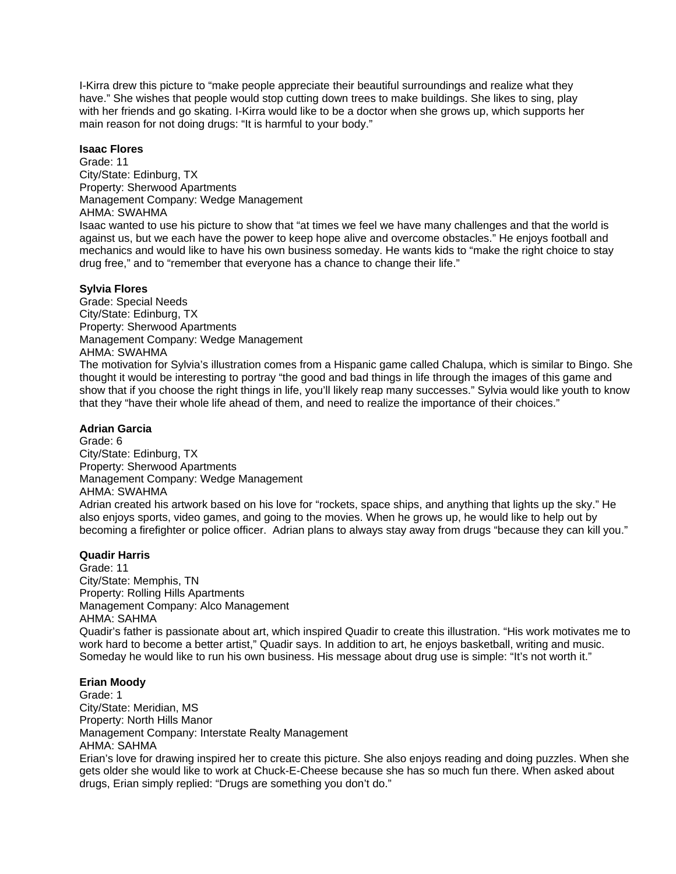I-Kirra drew this picture to "make people appreciate their beautiful surroundings and realize what they have." She wishes that people would stop cutting down trees to make buildings. She likes to sing, play with her friends and go skating. I-Kirra would like to be a doctor when she grows up, which supports her main reason for not doing drugs: "It is harmful to your body."

# **Isaac Flores**

Grade: 11 City/State: Edinburg, TX Property: Sherwood Apartments Management Company: Wedge Management AHMA: SWAHMA Isaac wanted to use his picture to show that "at times we feel we have many challenges and that the world is against us, but we each have the power to keep hope alive and overcome obstacles." He enjoys football and mechanics and would like to have his own business someday. He wants kids to "make the right choice to stay drug free," and to "remember that everyone has a chance to change their life."

# **Sylvia Flores**

Grade: Special Needs City/State: Edinburg, TX Property: Sherwood Apartments Management Company: Wedge Management AHMA: SWAHMA The motivation for Sylvia's illustration comes from a Hispanic game called Chalupa, which is similar to Bingo. She

thought it would be interesting to portray "the good and bad things in life through the images of this game and show that if you choose the right things in life, you'll likely reap many successes." Sylvia would like youth to know that they "have their whole life ahead of them, and need to realize the importance of their choices."

# **Adrian Garcia**

Grade: 6 City/State: Edinburg, TX Property: Sherwood Apartments Management Company: Wedge Management AHMA: SWAHMA Adrian created his artwork based on his love for "rockets, space ships, and anything that lights up the sky." He also enjoys sports, video games, and going to the movies. When he grows up, he would like to help out by becoming a firefighter or police officer. Adrian plans to always stay away from drugs "because they can kill you."

#### **Quadir Harris**

Grade: 11 City/State: Memphis, TN Property: Rolling Hills Apartments Management Company: Alco Management AHMA: SAHMA Quadir's father is passionate about art, which inspired Quadir to create this illustration. "His work motivates me to work hard to become a better artist," Quadir says. In addition to art, he enjoys basketball, writing and music. Someday he would like to run his own business. His message about drug use is simple: "It's not worth it."

## **Erian Moody**

Grade: 1 City/State: Meridian, MS Property: North Hills Manor Management Company: Interstate Realty Management AHMA: SAHMA Erian's love for drawing inspired her to create this picture. She also enjoys reading and doing puzzles. When she gets older she would like to work at Chuck-E-Cheese because she has so much fun there. When asked about drugs, Erian simply replied: "Drugs are something you don't do."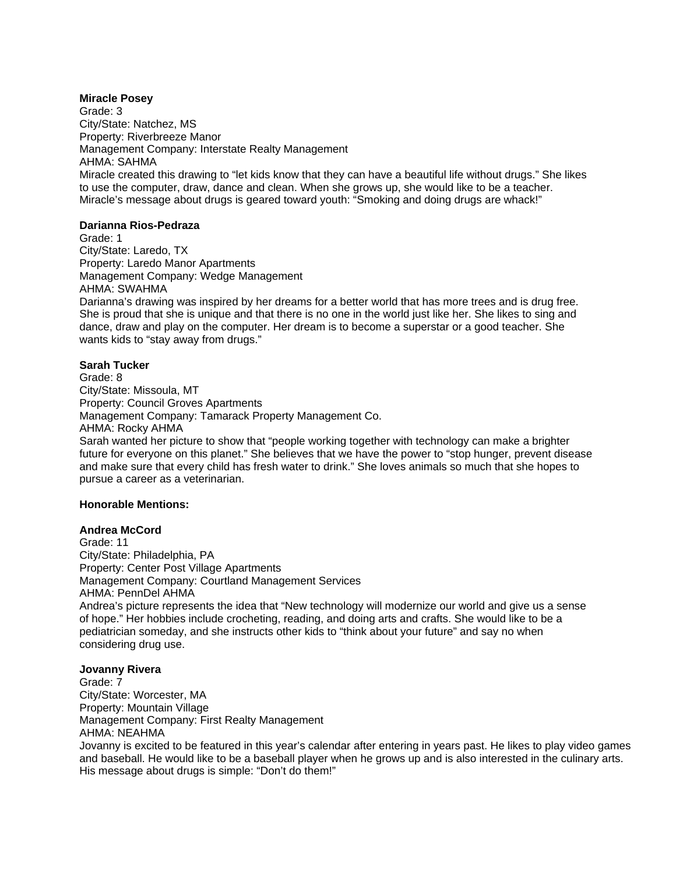## **Miracle Posey**

Grade: 3 City/State: Natchez, MS Property: Riverbreeze Manor Management Company: Interstate Realty Management AHMA: SAHMA Miracle created this drawing to "let kids know that they can have a beautiful life without drugs." She likes to use the computer, draw, dance and clean. When she grows up, she would like to be a teacher. Miracle's message about drugs is geared toward youth: "Smoking and doing drugs are whack!"

# **Darianna Rios-Pedraza**

Grade: 1 City/State: Laredo, TX Property: Laredo Manor Apartments Management Company: Wedge Management AHMA: SWAHMA Darianna's drawing was inspired by her dreams for a better world that has more trees and is drug free. She is proud that she is unique and that there is no one in the world just like her. She likes to sing and dance, draw and play on the computer. Her dream is to become a superstar or a good teacher. She wants kids to "stay away from drugs."

# **Sarah Tucker**

Grade: 8 City/State: Missoula, MT Property: Council Groves Apartments Management Company: Tamarack Property Management Co. AHMA: Rocky AHMA Sarah wanted her picture to show that "people working together with technology can make a brighter future for everyone on this planet." She believes that we have the power to "stop hunger, prevent disease and make sure that every child has fresh water to drink." She loves animals so much that she hopes to pursue a career as a veterinarian.

#### **Honorable Mentions:**

#### **Andrea McCord**

Grade: 11 City/State: Philadelphia, PA Property: Center Post Village Apartments Management Company: Courtland Management Services AHMA: PennDel AHMA Andrea's picture represents the idea that "New technology will modernize our world and give us a sense

of hope." Her hobbies include crocheting, reading, and doing arts and crafts. She would like to be a pediatrician someday, and she instructs other kids to "think about your future" and say no when considering drug use.

#### **Jovanny Rivera**

Grade: 7 City/State: Worcester, MA Property: Mountain Village Management Company: First Realty Management AHMA: NEAHMA

Jovanny is excited to be featured in this year's calendar after entering in years past. He likes to play video games and baseball. He would like to be a baseball player when he grows up and is also interested in the culinary arts. His message about drugs is simple: "Don't do them!"